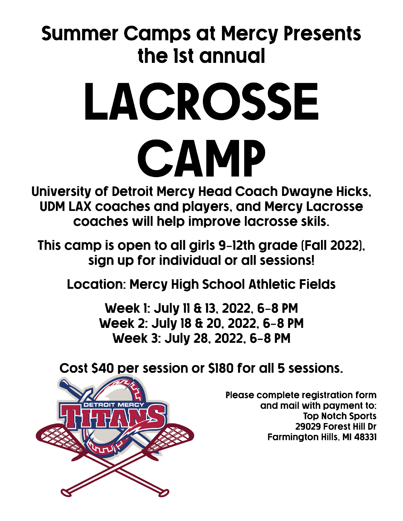## **Summer Camps at Mercy Presents** the 1st annual

## LACROSSE CAMP

University of Detroit Mercy Head Coach Dwayne Hicks, **UDM LAX coaches and players, and Mercy Lacrosse** coaches will help improve lacrosse skils.

This camp is open to all girls 9-12th grade (Fall 2022), sign up for individual or all sessions!

**Location: Mercy High School Athletic Fields** 

Week 1: July 11 & 13, 2022, 6-8 PM Week 2: July 18 & 20, 2022, 6-8 PM Week 3: July 28, 2022, 6-8 PM

Cost \$40 per session or \$180 for all 5 sessions.



Please complete registration form and mail with payment to: **Top Notch Sports** 29029 Forest Hill Dr **Farmington Hills, MI 48331**